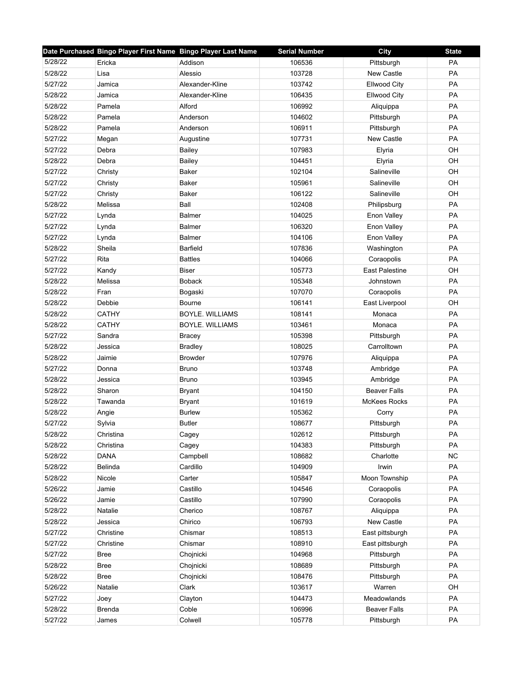|         | Date Purchased Bingo Player First Name Bingo Player Last Name |                        | <b>Serial Number</b> | <b>City</b>           | <b>State</b> |
|---------|---------------------------------------------------------------|------------------------|----------------------|-----------------------|--------------|
| 5/28/22 | Ericka                                                        | Addison                | 106536               | Pittsburgh            | <b>PA</b>    |
| 5/28/22 | Lisa                                                          | Alessio                | 103728               | New Castle            | PA           |
| 5/27/22 | Jamica                                                        | Alexander-Kline        | 103742               | <b>Ellwood City</b>   | PA           |
| 5/28/22 | Jamica                                                        | Alexander-Kline        | 106435               | <b>Ellwood City</b>   | PA           |
| 5/28/22 | Pamela                                                        | Alford                 | 106992               | Aliquippa             | PA           |
| 5/28/22 | Pamela                                                        | Anderson               | 104602               | Pittsburgh            | PA           |
| 5/28/22 | Pamela                                                        | Anderson               | 106911               | Pittsburgh            | PA           |
| 5/27/22 | Megan                                                         | Augustine              | 107731               | <b>New Castle</b>     | PA           |
| 5/27/22 | Debra                                                         | <b>Bailey</b>          | 107983               | Elyria                | OH           |
| 5/28/22 | Debra                                                         | <b>Bailey</b>          | 104451               | Elyria                | OH           |
| 5/27/22 | Christy                                                       | Baker                  | 102104               | Salineville           | OH           |
| 5/27/22 | Christy                                                       | Baker                  | 105961               | Salineville           | OH           |
| 5/27/22 | Christy                                                       | Baker                  | 106122               | Salineville           | OH           |
| 5/28/22 | Melissa                                                       | Ball                   | 102408               | Philipsburg           | PA           |
| 5/27/22 | Lynda                                                         | <b>Balmer</b>          | 104025               | Enon Valley           | PA           |
| 5/27/22 | Lynda                                                         | <b>Balmer</b>          | 106320               | Enon Valley           | PA           |
| 5/27/22 | Lynda                                                         | <b>Balmer</b>          | 104106               | Enon Valley           | <b>PA</b>    |
| 5/28/22 | Sheila                                                        | Barfield               | 107836               | Washington            | PA           |
| 5/27/22 | Rita                                                          | <b>Battles</b>         | 104066               | Coraopolis            | <b>PA</b>    |
| 5/27/22 | Kandy                                                         | <b>Biser</b>           | 105773               | <b>East Palestine</b> | OH           |
| 5/28/22 | Melissa                                                       | <b>Boback</b>          | 105348               | Johnstown             | PA           |
| 5/28/22 | Fran                                                          | Bogaski                | 107070               | Coraopolis            | PA           |
| 5/28/22 | Debbie                                                        | <b>Bourne</b>          | 106141               | East Liverpool        | OH           |
| 5/28/22 | <b>CATHY</b>                                                  | <b>BOYLE. WILLIAMS</b> | 108141               | Monaca                | PA           |
| 5/28/22 | <b>CATHY</b>                                                  | BOYLE. WILLIAMS        | 103461               | Monaca                | PA           |
| 5/27/22 | Sandra                                                        | <b>Bracey</b>          | 105398               | Pittsburgh            | PA           |
| 5/28/22 | Jessica                                                       | <b>Bradley</b>         | 108025               | Carrolltown           | PA           |
| 5/28/22 | Jaimie                                                        | <b>Browder</b>         | 107976               | Aliquippa             | PA           |
| 5/27/22 | Donna                                                         | <b>Bruno</b>           | 103748               | Ambridge              | PA           |
| 5/28/22 | Jessica                                                       | <b>Bruno</b>           | 103945               | Ambridge              | PA           |
| 5/28/22 | Sharon                                                        | <b>Bryant</b>          | 104150               | <b>Beaver Falls</b>   | PA           |
| 5/28/22 | Tawanda                                                       | <b>Bryant</b>          | 101619               | <b>McKees Rocks</b>   | PA           |
| 5/28/22 | Angie                                                         | <b>Burlew</b>          | 105362               | Corry                 | PA           |
| 5/27/22 | Sylvia                                                        | <b>Butler</b>          | 108677               | Pittsburgh            | PA           |
| 5/28/22 | Christina                                                     | Cagey                  | 102612               | Pittsburgh            | PA           |
| 5/28/22 | Christina                                                     | Cagey                  | 104383               | Pittsburgh            | PA           |
| 5/28/22 | <b>DANA</b>                                                   | Campbell               | 108682               | Charlotte             | <b>NC</b>    |
| 5/28/22 | <b>Belinda</b>                                                | Cardillo               | 104909               | Irwin                 | PA           |
| 5/28/22 | Nicole                                                        | Carter                 | 105847               | Moon Township         | PA           |
| 5/26/22 | Jamie                                                         | Castillo               | 104546               | Coraopolis            | PA           |
| 5/26/22 | Jamie                                                         | Castillo               | 107990               | Coraopolis            | PA           |
| 5/28/22 | Natalie                                                       | Cherico                | 108767               | Aliquippa             | PA           |
| 5/28/22 | Jessica                                                       | Chirico                | 106793               | New Castle            | PA           |
| 5/27/22 | Christine                                                     | Chismar                | 108513               | East pittsburgh       | PA           |
| 5/27/22 | Christine                                                     | Chismar                | 108910               | East pittsburgh       | PA           |
| 5/27/22 | <b>Bree</b>                                                   | Chojnicki              | 104968               | Pittsburgh            | PA           |
| 5/28/22 | <b>Bree</b>                                                   | Chojnicki              | 108689               | Pittsburgh            | PA           |
| 5/28/22 | <b>Bree</b>                                                   | Chojnicki              | 108476               | Pittsburgh            | PA           |
| 5/26/22 | Natalie                                                       | Clark                  | 103617               | Warren                | OH           |
| 5/27/22 | Joey                                                          | Clayton                | 104473               | Meadowlands           | PA           |
| 5/28/22 | <b>Brenda</b>                                                 | Coble                  | 106996               | <b>Beaver Falls</b>   | PA           |
| 5/27/22 | James                                                         | Colwell                | 105778               | Pittsburgh            | PA           |
|         |                                                               |                        |                      |                       |              |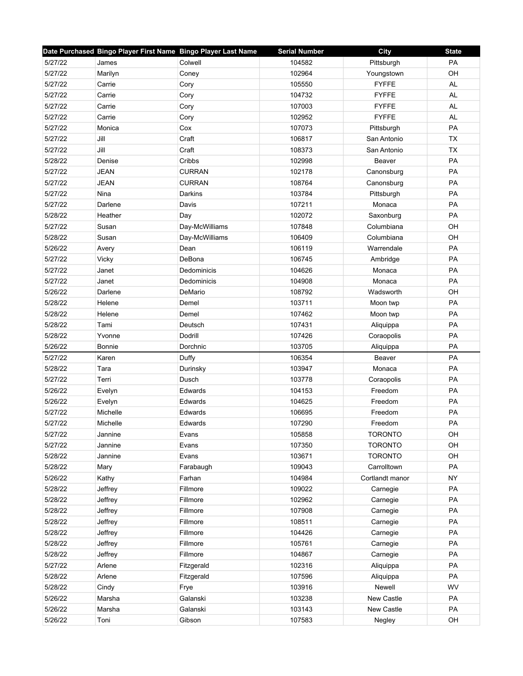|         | Date Purchased Bingo Player First Name Bingo Player Last Name |                | <b>Serial Number</b> | City            | <b>State</b> |
|---------|---------------------------------------------------------------|----------------|----------------------|-----------------|--------------|
| 5/27/22 | James                                                         | Colwell        | 104582               | Pittsburgh      | PA           |
| 5/27/22 | Marilyn                                                       | Coney          | 102964               | Youngstown      | OH           |
| 5/27/22 | Carrie                                                        | Cory           | 105550               | <b>FYFFE</b>    | AL           |
| 5/27/22 | Carrie                                                        | Cory           | 104732               | <b>FYFFE</b>    | <b>AL</b>    |
| 5/27/22 | Carrie                                                        | Cory           | 107003               | <b>FYFFE</b>    | <b>AL</b>    |
| 5/27/22 | Carrie                                                        | Cory           | 102952               | <b>FYFFE</b>    | AL           |
| 5/27/22 | Monica                                                        | Cox            | 107073               | Pittsburgh      | PA           |
| 5/27/22 | Jill                                                          | Craft          | 106817               | San Antonio     | <b>TX</b>    |
| 5/27/22 | Jill                                                          | Craft          | 108373               | San Antonio     | <b>TX</b>    |
| 5/28/22 | Denise                                                        | Cribbs         | 102998               | Beaver          | PA           |
| 5/27/22 | <b>JEAN</b>                                                   | <b>CURRAN</b>  | 102178               | Canonsburg      | PA           |
| 5/27/22 | <b>JEAN</b>                                                   | <b>CURRAN</b>  | 108764               | Canonsburg      | PA           |
| 5/27/22 | Nina                                                          | Darkins        | 103784               | Pittsburgh      | PA           |
| 5/27/22 | Darlene                                                       | Davis          | 107211               | Monaca          | PA           |
| 5/28/22 | Heather                                                       | Day            | 102072               | Saxonburg       | PA           |
| 5/27/22 | Susan                                                         | Day-McWilliams | 107848               | Columbiana      | OH           |
| 5/28/22 | Susan                                                         | Day-McWilliams | 106409               | Columbiana      | OH           |
| 5/26/22 | Avery                                                         | Dean           | 106119               | Warrendale      | PA           |
| 5/27/22 | <b>Vicky</b>                                                  | DeBona         | 106745               | Ambridge        | <b>PA</b>    |
| 5/27/22 | Janet                                                         | Dedominicis    | 104626               | Monaca          | PA           |
| 5/27/22 | Janet                                                         | Dedominicis    | 104908               | Monaca          | PA           |
| 5/26/22 | Darlene                                                       | DeMario        | 108792               | Wadsworth       | OH           |
| 5/28/22 | Helene                                                        | Demel          | 103711               | Moon twp        | PA           |
| 5/28/22 | Helene                                                        | Demel          | 107462               | Moon twp        | PA           |
| 5/28/22 | Tami                                                          | Deutsch        | 107431               | Aliquippa       | PA           |
| 5/28/22 | Yvonne                                                        | Dodrill        | 107426               | Coraopolis      | PA           |
| 5/26/22 | Bonnie                                                        | Dorchnic       | 103705               | Aliquippa       | PA           |
| 5/27/22 | Karen                                                         | Duffy          | 106354               | Beaver          | PA           |
| 5/28/22 | Tara                                                          | Durinsky       | 103947               | Monaca          | PA           |
| 5/27/22 | Terri                                                         | Dusch          | 103778               | Coraopolis      | PA           |
| 5/26/22 | Evelyn                                                        | Edwards        | 104153               | Freedom         | PA           |
| 5/26/22 | Evelyn                                                        | Edwards        | 104625               | Freedom         | PA           |
| 5/27/22 | Michelle                                                      | Edwards        | 106695               | Freedom         | PA           |
| 5/27/22 | Michelle                                                      | Edwards        | 107290               | Freedom         | PA           |
| 5/27/22 | Jannine                                                       | Evans          | 105858               | <b>TORONTO</b>  | OH           |
| 5/27/22 | Jannine                                                       | Evans          | 107350               | <b>TORONTO</b>  | OH           |
| 5/28/22 | Jannine                                                       | Evans          | 103671               | <b>TORONTO</b>  | OH           |
| 5/28/22 | Mary                                                          | Farabaugh      | 109043               | Carrolltown     | PA           |
| 5/26/22 | Kathy                                                         | Farhan         | 104984               | Cortlandt manor | <b>NY</b>    |
| 5/28/22 | Jeffrey                                                       | Fillmore       | 109022               | Carnegie        | PA           |
| 5/28/22 | Jeffrey                                                       | Fillmore       | 102962               | Carnegie        | PA           |
| 5/28/22 | Jeffrey                                                       | Fillmore       | 107908               | Carnegie        | PA           |
| 5/28/22 | Jeffrey                                                       | Fillmore       | 108511               | Carnegie        | PA           |
| 5/28/22 | Jeffrey                                                       | Fillmore       | 104426               | Carnegie        | PA           |
| 5/28/22 | Jeffrey                                                       | Fillmore       | 105761               | Carnegie        | PA           |
| 5/28/22 | Jeffrey                                                       | Fillmore       | 104867               | Carnegie        | PA           |
| 5/27/22 | Arlene                                                        | Fitzgerald     | 102316               | Aliquippa       | PA           |
| 5/28/22 | Arlene                                                        | Fitzgerald     | 107596               | Aliquippa       | PA           |
| 5/28/22 | Cindy                                                         | Frye           | 103916               | Newell          | <b>WV</b>    |
| 5/26/22 | Marsha                                                        | Galanski       | 103238               | New Castle      | PA           |
| 5/26/22 | Marsha                                                        | Galanski       | 103143               | New Castle      | PA           |
| 5/26/22 | Toni                                                          | Gibson         | 107583               | Negley          | OH           |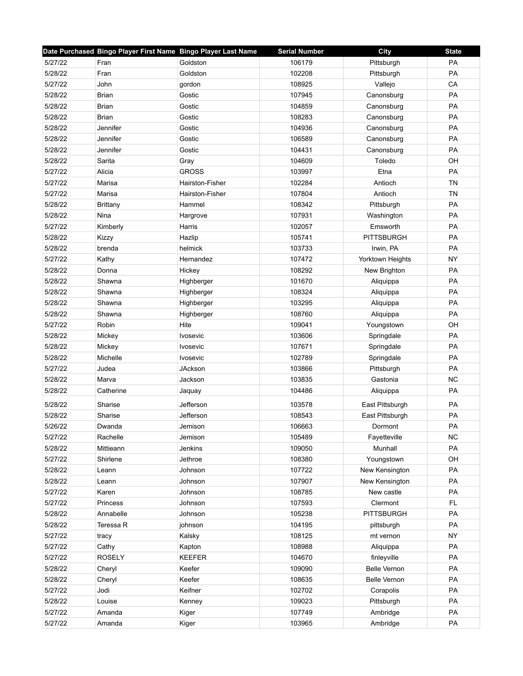|         | Date Purchased Bingo Player First Name Bingo Player Last Name |                 | <b>Serial Number</b> | City                | <b>State</b> |
|---------|---------------------------------------------------------------|-----------------|----------------------|---------------------|--------------|
| 5/27/22 | Fran                                                          | Goldston        | 106179               | Pittsburgh          | PA           |
| 5/28/22 | Fran                                                          | Goldston        | 102208               | Pittsburgh          | PA           |
| 5/27/22 | John                                                          | gordon          | 108925               | Vallejo             | CA           |
| 5/28/22 | <b>Brian</b>                                                  | Gostic          | 107945               | Canonsburg          | PA           |
| 5/28/22 | <b>Brian</b>                                                  | Gostic          | 104859               | Canonsburg          | PA           |
| 5/28/22 | <b>Brian</b>                                                  | Gostic          | 108283               | Canonsburg          | PA           |
| 5/28/22 | Jennifer                                                      | Gostic          | 104936               | Canonsburg          | PA           |
| 5/28/22 | Jennifer                                                      | Gostic          | 106589               | Canonsburg          | PA           |
| 5/28/22 | Jennifer                                                      | Gostic          | 104431               | Canonsburg          | PA           |
| 5/28/22 | Sarita                                                        | Gray            | 104609               | Toledo              | OH           |
| 5/27/22 | Alicia                                                        | <b>GROSS</b>    | 103997               | Etna                | PA           |
| 5/27/22 | Marisa                                                        | Hairston-Fisher | 102284               | Antioch             | <b>TN</b>    |
| 5/27/22 | Marisa                                                        | Hairston-Fisher | 107804               | Antioch             | <b>TN</b>    |
| 5/28/22 | <b>Brittany</b>                                               | Hammel          | 108342               | Pittsburgh          | PA           |
| 5/28/22 | Nina                                                          | Hargrove        | 107931               | Washington          | PA           |
| 5/27/22 | Kimberly                                                      | Harris          | 102057               | Emsworth            | PA           |
| 5/28/22 | Kizzy                                                         | Hazlip          | 105741               | <b>PITTSBURGH</b>   | PA           |
| 5/28/22 | brenda                                                        | helmick         | 103733               | Irwin, PA           | PA           |
| 5/27/22 | Kathy                                                         | Hernandez       | 107472               | Yorktown Heights    | <b>NY</b>    |
| 5/28/22 | Donna                                                         | Hickey          | 108292               | New Brighton        | PA           |
| 5/28/22 | Shawna                                                        | Highberger      | 101670               | Aliquippa           | PA           |
| 5/28/22 | Shawna                                                        | Highberger      | 108324               | Aliquippa           | PA           |
| 5/28/22 | Shawna                                                        | Highberger      | 103295               | Aliquippa           | PA           |
| 5/28/22 | Shawna                                                        | Highberger      | 108760               | Aliquippa           | PA           |
| 5/27/22 | Robin                                                         | Hite            | 109041               | Youngstown          | OH           |
| 5/28/22 | Mickey                                                        | Ivosevic        | 103606               | Springdale          | PA           |
| 5/28/22 | Mickey                                                        | <b>Ivosevic</b> | 107671               | Springdale          | PA           |
| 5/28/22 | Michelle                                                      | <b>Ivosevic</b> | 102789               | Springdale          | PA           |
| 5/27/22 | Judea                                                         | <b>JAckson</b>  | 103866               | Pittsburgh          | PA           |
| 5/28/22 | Marva                                                         | Jackson         | 103835               | Gastonia            | <b>NC</b>    |
| 5/28/22 | Catherine                                                     | Jaquay          | 104486               | Aliquippa           | PA           |
| 5/28/22 | Sharise                                                       | Jefferson       | 103578               | East Pittsburgh     | PA           |
| 5/28/22 | Sharise                                                       | Jefferson       | 108543               | East Pittsburgh     | PA           |
| 5/26/22 | Dwanda                                                        | Jemison         | 106663               | Dormont             | PA           |
| 5/27/22 | Rachelle                                                      | Jemison         | 105489               | Fayetteville        | <b>NC</b>    |
| 5/28/22 | Mittieann                                                     | Jenkins         | 109050               | Munhall             | PA           |
| 5/27/22 | Shirlene                                                      | Jethroe         | 108380               | Youngstown          | OH           |
| 5/28/22 | Leann                                                         | Johnson         | 107722               | New Kensington      | PA           |
| 5/28/22 | Leann                                                         | Johnson         | 107907               | New Kensington      | PA           |
| 5/27/22 | Karen                                                         | Johnson         | 108785               | New castle          | PA           |
| 5/27/22 | Princess                                                      | Johnson         | 107593               | Clermont            | FL           |
| 5/28/22 | Annabelle                                                     | Johnson         | 105238               | <b>PITTSBURGH</b>   | PA           |
| 5/28/22 | Teressa R                                                     | johnson         | 104195               | pittsburgh          | PA           |
| 5/27/22 | tracy                                                         | Kalsky          | 108125               | mt vernon           | <b>NY</b>    |
| 5/27/22 | Cathy                                                         | Kapton          | 108988               | Aliquippa           | PA           |
| 5/27/22 | <b>ROSELY</b>                                                 | <b>KEEFER</b>   | 104670               | finleyville         | PA           |
| 5/28/22 | Cheryl                                                        | Keefer          | 109090               | <b>Belle Vernon</b> | PA           |
| 5/28/22 | Cheryl                                                        | Keefer          | 108635               | <b>Belle Vernon</b> | PA           |
| 5/27/22 | Jodi                                                          | Keifner         | 102702               | Corapolis           | PA           |
| 5/28/22 | Louise                                                        | Kenney          | 109023               | Pittsburgh          | PA           |
| 5/27/22 | Amanda                                                        | Kiger           | 107749               | Ambridge            | PA           |
| 5/27/22 | Amanda                                                        |                 | 103965               | Ambridge            | PA           |
|         |                                                               | Kiger           |                      |                     |              |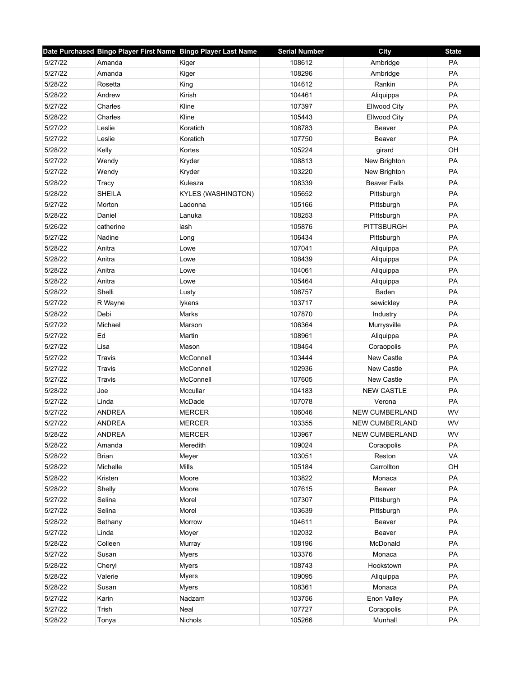|         | Date Purchased Bingo Player First Name Bingo Player Last Name |                    | <b>Serial Number</b> | City                  | <b>State</b> |
|---------|---------------------------------------------------------------|--------------------|----------------------|-----------------------|--------------|
| 5/27/22 | Amanda                                                        | Kiger              | 108612               | Ambridge              | PA           |
| 5/27/22 | Amanda                                                        | Kiger              | 108296               | Ambridge              | PA           |
| 5/28/22 | Rosetta                                                       | King               | 104612               | Rankin                | PA           |
| 5/28/22 | Andrew                                                        | Kirish             | 104461               | Aliquippa             | PA           |
| 5/27/22 | Charles                                                       | Kline              | 107397               | <b>Ellwood City</b>   | PA           |
| 5/28/22 | Charles                                                       | Kline              | 105443               | Ellwood City          | PA           |
| 5/27/22 | Leslie                                                        | Koratich           | 108783               | Beaver                | PA           |
| 5/27/22 | Leslie                                                        | Koratich           | 107750               | Beaver                | PA           |
| 5/28/22 | Kelly                                                         | Kortes             | 105224               | girard                | OH           |
| 5/27/22 | Wendy                                                         | Kryder             | 108813               | New Brighton          | PA           |
| 5/27/22 | Wendy                                                         | Kryder             | 103220               | New Brighton          | PA           |
| 5/28/22 | Tracy                                                         | Kulesza            | 108339               | <b>Beaver Falls</b>   | PA           |
| 5/28/22 | <b>SHEILA</b>                                                 | KYLES (WASHINGTON) | 105652               | Pittsburgh            | PA           |
| 5/27/22 | Morton                                                        | Ladonna            | 105166               | Pittsburgh            | PA           |
| 5/28/22 | Daniel                                                        | Lanuka             | 108253               | Pittsburgh            | PA           |
| 5/26/22 | catherine                                                     | lash               | 105876               | <b>PITTSBURGH</b>     | PA           |
| 5/27/22 | Nadine                                                        | Long               | 106434               | Pittsburgh            | PA           |
| 5/28/22 | Anitra                                                        | Lowe               | 107041               | Aliquippa             | PA           |
| 5/28/22 | Anitra                                                        | Lowe               | 108439               | Aliquippa             | <b>PA</b>    |
| 5/28/22 | Anitra                                                        | Lowe               | 104061               | Aliquippa             | PA           |
| 5/28/22 | Anitra                                                        | Lowe               | 105464               | Aliquippa             | PA           |
| 5/28/22 | Shelli                                                        | Lusty              | 106757               | Baden                 | PA           |
| 5/27/22 | R Wayne                                                       | lykens             | 103717               | sewickley             | PA           |
| 5/28/22 | Debi                                                          | Marks              | 107870               | Industry              | PA           |
| 5/27/22 | Michael                                                       | Marson             | 106364               | Murrysville           | PA           |
| 5/27/22 | Ed                                                            | Martin             | 108961               | Aliquippa             | PA           |
| 5/27/22 | Lisa                                                          | Mason              | 108454               | Coraopolis            | PA           |
| 5/27/22 | Travis                                                        | McConnell          | 103444               | <b>New Castle</b>     | PA           |
| 5/27/22 | Travis                                                        | McConnell          | 102936               | New Castle            | PA           |
| 5/27/22 | Travis                                                        | McConnell          | 107605               | New Castle            | PA           |
| 5/28/22 | Joe                                                           | Mccullar           | 104183               | <b>NEW CASTLE</b>     | PA           |
| 5/27/22 | Linda                                                         | McDade             | 107078               | Verona                | PA           |
| 5/27/22 | <b>ANDREA</b>                                                 | <b>MERCER</b>      | 106046               | <b>NEW CUMBERLAND</b> | WV           |
| 5/27/22 | <b>ANDREA</b>                                                 | <b>MERCER</b>      | 103355               | <b>NEW CUMBERLAND</b> | WV           |
| 5/28/22 | <b>ANDREA</b>                                                 | <b>MERCER</b>      | 103967               | NEW CUMBERLAND        | WV           |
| 5/28/22 | Amanda                                                        | Meredith           | 109024               | Coraopolis            | PA           |
| 5/28/22 | <b>Brian</b>                                                  | Meyer              | 103051               | Reston                | VA           |
| 5/28/22 | Michelle                                                      | Mills              | 105184               | Carrollton            | OH           |
| 5/28/22 | Kristen                                                       | Moore              | 103822               | Monaca                | PA           |
| 5/28/22 | Shelly                                                        | Moore              | 107615               | Beaver                | PA           |
| 5/27/22 | Selina                                                        | Morel              | 107307               | Pittsburgh            | PA           |
| 5/27/22 | Selina                                                        | Morel              | 103639               | Pittsburgh            | PA           |
| 5/28/22 | Bethany                                                       | Morrow             | 104611               | Beaver                | PA           |
| 5/27/22 | Linda                                                         | Moyer              | 102032               | Beaver                | PA           |
| 5/28/22 | Colleen                                                       | Murray             | 108196               | McDonald              | PA           |
| 5/27/22 | Susan                                                         | <b>Myers</b>       | 103376               | Monaca                | PA           |
| 5/28/22 | Cheryl                                                        | <b>Myers</b>       | 108743               | Hookstown             | PA           |
| 5/28/22 | Valerie                                                       | Myers              | 109095               | Aliquippa             | PA           |
| 5/28/22 | Susan                                                         | <b>Myers</b>       | 108361               | Monaca                | PA           |
| 5/27/22 | Karin                                                         | Nadzam             | 103756               | Enon Valley           | PA           |
| 5/27/22 | Trish                                                         | Neal               | 107727               | Coraopolis            | PA           |
| 5/28/22 | Tonya                                                         | Nichols            | 105266               | Munhall               | PA           |
|         |                                                               |                    |                      |                       |              |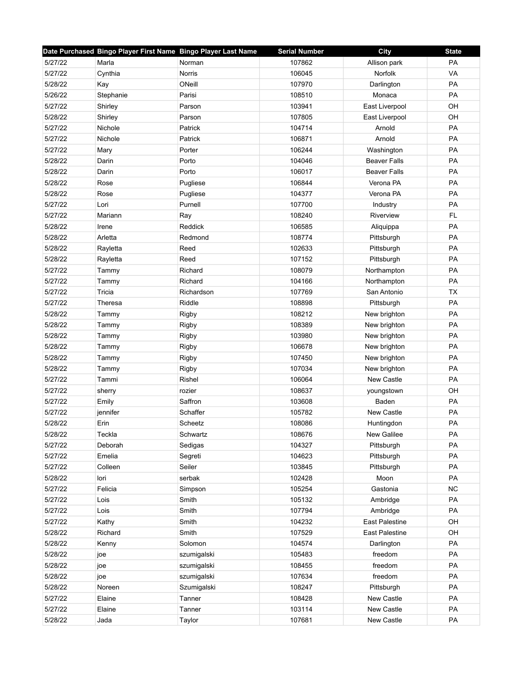|         | Date Purchased Bingo Player First Name Bingo Player Last Name |             | <b>Serial Number</b> | City                  | <b>State</b> |
|---------|---------------------------------------------------------------|-------------|----------------------|-----------------------|--------------|
| 5/27/22 | Marla                                                         | Norman      | 107862               | Allison park          | PA           |
| 5/27/22 | Cynthia                                                       | Norris      | 106045               | Norfolk               | VA           |
| 5/28/22 | Kay                                                           | ONeill      | 107970               | Darlington            | PA           |
| 5/26/22 | Stephanie                                                     | Parisi      | 108510               | Monaca                | PA           |
| 5/27/22 | Shirley                                                       | Parson      | 103941               | East Liverpool        | OH           |
| 5/28/22 | Shirley                                                       | Parson      | 107805               | East Liverpool        | OH           |
| 5/27/22 | Nichole                                                       | Patrick     | 104714               | Arnold                | PA           |
| 5/27/22 | Nichole                                                       | Patrick     | 106871               | Arnold                | PA           |
| 5/27/22 | Mary                                                          | Porter      | 106244               | Washington            | PA           |
| 5/28/22 | Darin                                                         | Porto       | 104046               | <b>Beaver Falls</b>   | PA           |
| 5/28/22 | Darin                                                         | Porto       | 106017               | <b>Beaver Falls</b>   | PA           |
| 5/28/22 | Rose                                                          | Pugliese    | 106844               | Verona PA             | PA           |
| 5/28/22 | Rose                                                          | Pugliese    | 104377               | Verona PA             | PA           |
| 5/27/22 | Lori                                                          | Purnell     | 107700               | Industry              | PA           |
| 5/27/22 | Mariann                                                       | Ray         | 108240               | Riverview             | FL.          |
| 5/28/22 | Irene                                                         | Reddick     | 106585               | Aliquippa             | PA           |
| 5/28/22 | Arletta                                                       | Redmond     | 108774               | Pittsburgh            | PA           |
| 5/28/22 | Rayletta                                                      | Reed        | 102633               | Pittsburgh            | PA           |
| 5/28/22 | Rayletta                                                      | Reed        | 107152               | Pittsburgh            | <b>PA</b>    |
| 5/27/22 | Tammy                                                         | Richard     | 108079               | Northampton           | PA           |
| 5/27/22 | Tammy                                                         | Richard     | 104166               | Northampton           | PA           |
| 5/27/22 | Tricia                                                        | Richardson  | 107769               | San Antonio           | <b>TX</b>    |
| 5/27/22 | Theresa                                                       | Riddle      | 108898               | Pittsburgh            | PA           |
| 5/28/22 | Tammy                                                         | Rigby       | 108212               | New brighton          | PA           |
| 5/28/22 | Tammy                                                         | Rigby       | 108389               | New brighton          | PA           |
| 5/28/22 | Tammy                                                         | Rigby       | 103980               | New brighton          | PA           |
| 5/28/22 | Tammy                                                         | Rigby       | 106678               | New brighton          | PA           |
| 5/28/22 | Tammy                                                         | Rigby       | 107450               | New brighton          | PA           |
| 5/28/22 | Tammy                                                         | Rigby       | 107034               | New brighton          | PA           |
| 5/27/22 | Tammi                                                         | Rishel      | 106064               | <b>New Castle</b>     | <b>PA</b>    |
| 5/27/22 | sherry                                                        | rozier      | 108637               | youngstown            | OH           |
| 5/27/22 | Emily                                                         | Saffron     | 103608               | Baden                 | PA           |
| 5/27/22 | jennifer                                                      | Schaffer    | 105782               | New Castle            | PA           |
| 5/28/22 | Erin                                                          | Scheetz     | 108086               | Huntingdon            | PA           |
| 5/28/22 | Teckla                                                        | Schwartz    | 108676               | New Galilee           | PA           |
| 5/27/22 | Deborah                                                       | Sedigas     | 104327               | Pittsburgh            | PA           |
| 5/27/22 | Emelia                                                        | Segreti     | 104623               | Pittsburgh            | PA           |
| 5/27/22 | Colleen                                                       | Seiler      | 103845               | Pittsburgh            | PA           |
| 5/28/22 | lori                                                          | serbak      | 102428               | Moon                  | PA           |
| 5/27/22 | Felicia                                                       | Simpson     | 105254               | Gastonia              | <b>NC</b>    |
| 5/27/22 | Lois                                                          | Smith       | 105132               | Ambridge              | PA           |
| 5/27/22 | Lois                                                          | Smith       | 107794               | Ambridge              | PA           |
| 5/27/22 | Kathy                                                         | Smith       | 104232               | <b>East Palestine</b> | OH           |
| 5/28/22 | Richard                                                       | Smith       | 107529               | East Palestine        | OH           |
| 5/28/22 | Kenny                                                         | Solomon     | 104574               | Darlington            | PA           |
| 5/28/22 | joe                                                           | szumigalski | 105483               | freedom               | PA           |
| 5/28/22 | joe                                                           | szumigalski | 108455               | freedom               | PA           |
| 5/28/22 | joe                                                           | szumigalski | 107634               | freedom               | PA           |
| 5/28/22 | Noreen                                                        | Szumigalski | 108247               | Pittsburgh            | PA           |
| 5/27/22 | Elaine                                                        | Tanner      | 108428               | New Castle            | PA           |
| 5/27/22 | Elaine                                                        | Tanner      | 103114               | New Castle            | PA           |
| 5/28/22 | Jada                                                          | Taylor      | 107681               | New Castle            | PA           |
|         |                                                               |             |                      |                       |              |